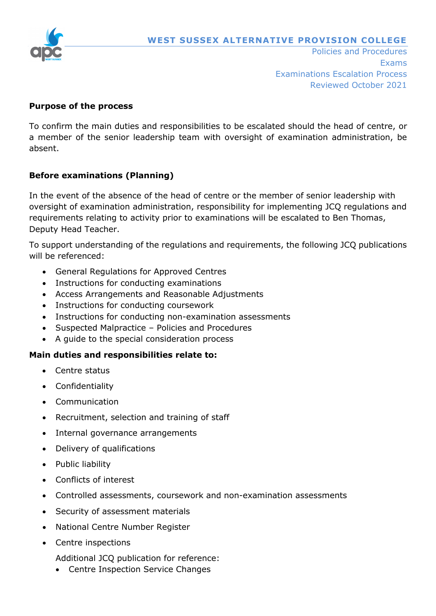

#### **Purpose of the process**

To confirm the main duties and responsibilities to be escalated should the head of centre, or a member of the senior leadership team with oversight of examination administration, be absent.

### **Before examinations (Planning)**

In the event of the absence of the head of centre or the member of senior leadership with oversight of examination administration, responsibility for implementing JCQ regulations and requirements relating to activity prior to examinations will be escalated to Ben Thomas, Deputy Head Teacher.

To support understanding of the regulations and requirements, the following JCQ publications will be referenced:

- General Regulations for Approved Centres
- Instructions for conducting examinations
- Access Arrangements and Reasonable Adjustments
- Instructions for conducting coursework
- Instructions for conducting non-examination assessments
- Suspected Malpractice Policies and Procedures
- A guide to the special consideration process

#### **Main duties and responsibilities relate to:**

- Centre status
- Confidentiality
- Communication
- Recruitment, selection and training of staff
- Internal governance arrangements
- Delivery of qualifications
- Public liability
- Conflicts of interest
- Controlled assessments, coursework and non-examination assessments
- Security of assessment materials
- National Centre Number Register
- Centre inspections

Additional JCQ publication for reference:

• Centre Inspection Service Changes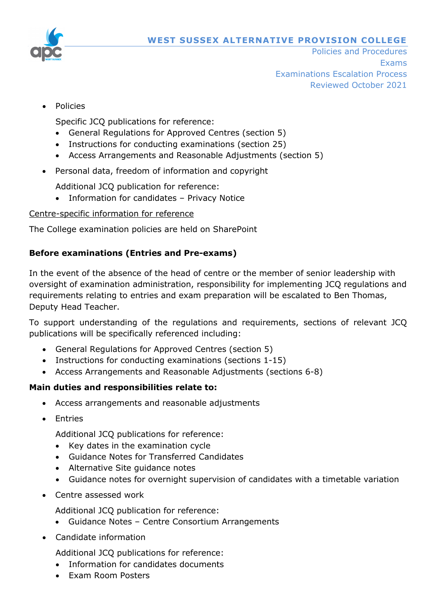

• Policies

Specific JCQ publications for reference:

- General Regulations for Approved Centres (section 5)
- Instructions for conducting examinations (section 25)
- Access Arrangements and Reasonable Adjustments (section 5)
- Personal data, freedom of information and copyright

Additional JCQ publication for reference:

• Information for candidates – Privacy Notice

Centre-specific information for reference

The College examination policies are held on SharePoint

# **Before examinations (Entries and Pre-exams)**

In the event of the absence of the head of centre or the member of senior leadership with oversight of examination administration, responsibility for implementing JCQ regulations and requirements relating to entries and exam preparation will be escalated to Ben Thomas, Deputy Head Teacher.

To support understanding of the regulations and requirements, sections of relevant JCQ publications will be specifically referenced including:

- General Regulations for Approved Centres (section 5)
- Instructions for conducting examinations (sections 1-15)
- Access Arrangements and Reasonable Adjustments (sections 6-8)

### **Main duties and responsibilities relate to:**

- Access arrangements and reasonable adjustments
- Entries

Additional JCQ publications for reference:

- Key dates in the examination cycle
- Guidance Notes for Transferred Candidates
- Alternative Site guidance notes
- Guidance notes for overnight supervision of candidates with a timetable variation
- Centre assessed work

Additional JCQ publication for reference:

- Guidance Notes Centre Consortium Arrangements
- Candidate information

Additional JCQ publications for reference:

- Information for candidates documents
- Exam Room Posters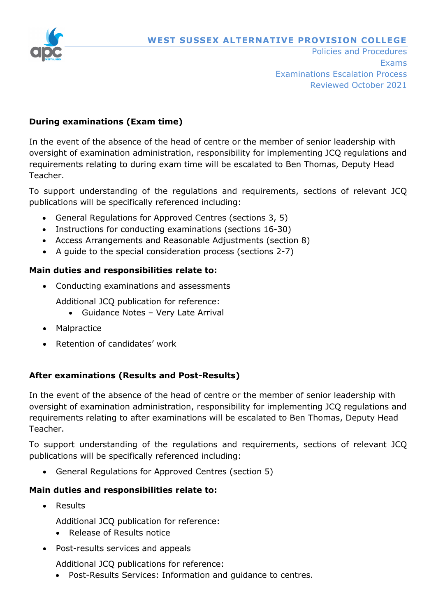

## **During examinations (Exam time)**

In the event of the absence of the head of centre or the member of senior leadership with oversight of examination administration, responsibility for implementing JCQ regulations and requirements relating to during exam time will be escalated to Ben Thomas, Deputy Head Teacher.

To support understanding of the regulations and requirements, sections of relevant JCQ publications will be specifically referenced including:

- General Regulations for Approved Centres (sections 3, 5)
- Instructions for conducting examinations (sections 16-30)
- Access Arrangements and Reasonable Adjustments (section 8)
- A guide to the special consideration process (sections 2-7)

### **Main duties and responsibilities relate to:**

• Conducting examinations and assessments

Additional JCQ publication for reference:

- Guidance Notes Very Late Arrival
- Malpractice
- Retention of candidates' work

# **After examinations (Results and Post-Results)**

In the event of the absence of the head of centre or the member of senior leadership with oversight of examination administration, responsibility for implementing JCQ regulations and requirements relating to after examinations will be escalated to Ben Thomas, Deputy Head Teacher.

To support understanding of the regulations and requirements, sections of relevant JCQ publications will be specifically referenced including:

• General Regulations for Approved Centres (section 5)

### **Main duties and responsibilities relate to:**

• Results

Additional JCQ publication for reference:

- Release of Results notice
- Post-results services and appeals

Additional JCQ publications for reference:

• Post-Results Services: Information and guidance to centres.